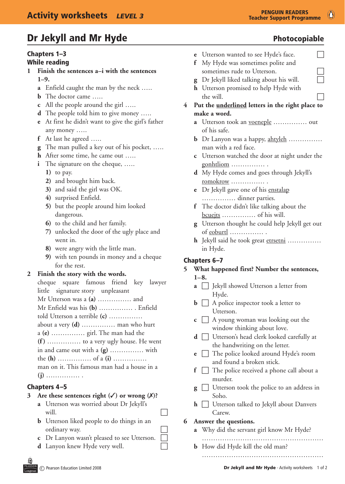# Dr Jekyll and Mr Hyde **Photocopiable** Photocopiable

# Chapters 1–3

# While reading

- **1 Finish the sentences a–i with the sentences 1–9.**
	- **a** Enfield caught the man by the neck …..
	- **b** The doctor came .....
	- **c** All the people around the girl …..
	- **d** The people told him to give money .....
	- **e** At first he didn't want to give the girl's father any money …..
	- **f** At last he agreed …..
	- **g** The man pulled a key out of his pocket, …..
	- **h** After some time, he came out …..
	- **i** The signature on the cheque, .....
		- **1)** to pay.
		- **2)** and brought him back.
		- **3)** and said the girl was OK.
		- **4)** surprised Enfield.
		- **5)** but the people around him looked dangerous.
		- **6)** to the child and her family.
		- **7)** unlocked the door of the ugly place and went in.
		- **8)** were angry with the little man.
		- **9)** with ten pounds in money and a cheque for the rest.

### **2 Finish the story with the words.**

 cheque square famous friend key lawyer little signature story unpleasant Mr Utterson was a **(a)** …………… and Mr Enfield was his **(b)** …………… . Enfield told Utterson a terrible **(c)** …………… about a very **(d)** …………… man who hurt a **(e)** …………… girl. The man had the **(f )** …………… to a very ugly house. He went in and came out with a **(g)** …………… with the **(h)** …………… of a **(i)** …………… man on it. This famous man had a house in a **(j)** …………… .

# Chapters 4–5

# **3 Are these sentences right (**3**) or wrong (**7**)?**

- **a** Utterson was worried about Dr Jekyll's will.  $\Box$
- **b** Utterson liked people to do things in an ordinary way.
- **c** Dr Lanyon wasn't pleased to see Utterson.
- **d** Lanyon knew Hyde very well.
- **e** Utterson wanted to see Hyde's face. **f** My Hyde was sometimes polite and
- sometimes rude to Utterson.
- **g** Dr Jekyll liked talking about his will. **h** Utterson promised to help Hyde with the will.
- **4 Put the underlined letters in the right place to make a word.**
	- **a** Utterson took an <u>voeneple</u> …………… out of his safe.
	- **b** Dr Lanyon was a happy, ahtyleh …………… man with a red face.
	- **c** Utterson watched the door at night under the gonhtliom …………… .
	- **d** My Hyde comes and goes through Jekyll's romokrow …………… .
	- **e** Dr Jekyll gave one of his enstalap …………… dinner parties.
	- **f** The doctor didn't like talking about the bcuejts …………… of his will.
	- **g** Utterson thought he could help Jekyll get out of eoburtl …………… .
	- **h** Jekyll said he took great etrsetni …………… in Hyde.

# Chapters 6–7

### **5 What happened first? Number the sentences, 1–8.**

- **a**  $\Box$  Jekyll showed Utterson a letter from Hyde.
- $\mathbf{b} \Box$  A police inspector took a letter to Utterson.
- $\mathbf{c} \ \Box$  A young woman was looking out the window thinking about love.
- **d**  $\Box$  Utterson's head clerk looked carefully at the handwriting on the letter.
- **e**  $\Box$  The police looked around Hyde's room and found a broken stick.
- $\mathbf{f}$   $\Box$  The police received a phone call about a murder.
- **g**  $\Box$  Utterson took the police to an address in Soho.
- $\mathbf{h}$   $\Box$  Utterson talked to Jekyll about Danvers Carew.
- **6 Answer the questions.**
	- **a** Why did the servant girl know Mr Hyde?
	- ……………………………………………… **b** How did Hyde kill the old man?
		- ………………………………………………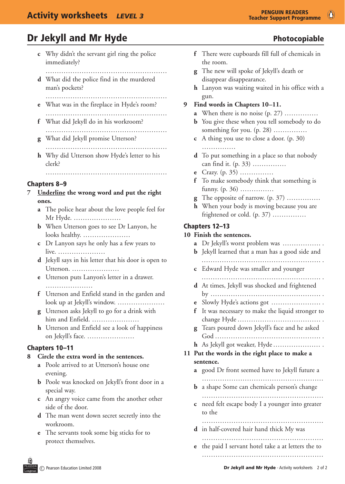- **c** Why didn't the servant girl ring the police immediately?
	- ………………………………………………………………
- **d** What did the police find in the murdered man's pockets?
- ……………………………………………… **e** What was in the fireplace in Hyde's room?
- ………………………………………………
- **f** What did Jekyll do in his workroom?
- ……………………………………………… **g** What did Jekyll promise Utterson?
- ……………………………………………… **h** Why did Utterson show Hyde's letter to his clerk?

 ………………………………………………

- Chapters 8–9
- **7 Underline the wrong word and put the right ones.**
	- **a** The police hear about the love people feel for Mr Hyde. …………………
	- **b** When Utterson goes to see Dr Lanyon, he looks healthy. …………………
	- **c** Dr Lanyon says he only has a few years to live. …………………
	- **d** Jekyll says in his letter that his door is open to Utterson. …………………
	- **e** Utterson puts Lanyon's letter in a drawer. …………………
	- **f** Utterson and Enfield stand in the garden and look up at Jekyll's window. …………………
	- **g** Utterson asks Jekyll to go for a drink with him and Enfield. …………………
	- **h** Utterson and Enfield see a look of happiness on Jekyll's face. …………………

### Chapters 10–11

### **8 Circle the extra word in the sentences.**

- **a** Poole arrived to at Utterson's house one evening.
- **b** Poole was knocked on Jekyll's front door in a special way.
- **c** An angry voice came from the another other side of the door.
- **d** The man went down secret secretly into the workroom.
- **e** The servants took some big sticks for to protect themselves.
- 
- **f** There were cupboards fill full of chemicals in the room.
- **g** The new will spoke of Jekyll's death or disappear disappearance.
- **h** Lanyon was waiting waited in his office with a gun.
- **9 Find words in Chapters 10–11.**
	- **a** When there is no noise  $(p, 27)$  ……………
	- **b** You give these when you tell somebody to do something for you. (p. 28) ...............
	- **c** A thing you use to close a door. (p. 30) ……………
	- **d** To put something in a place so that nobody can find it. (p. 33) ……………
	- **e** Crazy. (p. 35) ……………
	- **f** To make somebody think that something is funny. (p. 36) ……………
	- **g** The opposite of narrow.  $(p. 37)$  ……………
	- **h** When your body is moving because you are frightened or cold. (p. 37) ……………

### Chapters 12–13

#### **10 Finish the sentences.**

|    | $\mathbf{a}$<br>b | Dr Jekyll's worst problem was<br>Jekyll learned that a man has a good side and |
|----|-------------------|--------------------------------------------------------------------------------|
|    |                   | c Edward Hyde was smaller and younger                                          |
|    |                   | d At times, Jekyll was shocked and frightened                                  |
|    | e                 | Slowly Hyde's actions got                                                      |
|    | $\mathbf{f}$      | It was necessary to make the liquid stronger to                                |
|    |                   | g Tears poured down Jekyll's face and he asked                                 |
|    |                   | h As Jekyll got weaker, Hyde<br>Put the words in the right place to make a     |
| 11 |                   |                                                                                |
|    |                   | sentence.                                                                      |
|    |                   | <b>a</b> good Dr front seemed have to Jekyll future a                          |
|    | b.                | a shape Some can chemicals person's change                                     |
|    | C                 | need felt escape body I a younger into greater<br>to the                       |
|    |                   | <b>d</b> in half-covered hair hand thick My was                                |
|    | e                 | the paid I servant hotel take a at letters the to                              |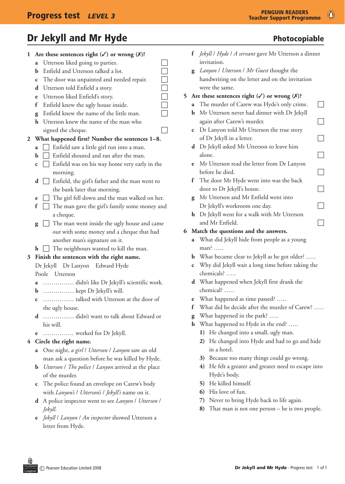# Dr Jekyll and Mr Hyde **Photocopiable** Photocopiable

| ı.           | Are these sentences right $(\checkmark)$ or wrong $(\checkmark)$ ? |                                                              |  |
|--------------|--------------------------------------------------------------------|--------------------------------------------------------------|--|
|              | a                                                                  | Utterson liked going to parties.                             |  |
|              | b                                                                  | Enfield and Utterson talked a lot.                           |  |
|              | $\mathbf{c}$                                                       | The door was unpainted and needed repair.                    |  |
|              | d                                                                  | N N N N N N<br>N N N N N N<br>Utterson told Enfield a story. |  |
|              | e                                                                  | Utterson liked Enfield's story.                              |  |
|              | f                                                                  | Enfield knew the ugly house inside.                          |  |
|              | g                                                                  | Enfield knew the name of the little man.                     |  |
|              | h.                                                                 | Utterson knew the name of the man who                        |  |
|              |                                                                    | signed the cheque.                                           |  |
| $\mathbf{2}$ |                                                                    | What happened first? Number the sentences 1-8.               |  |
|              | a                                                                  | Enfield saw a little girl run into a man.<br>$\Box$          |  |
|              | b                                                                  | Enfield shouted and ran after the man.                       |  |
|              | C                                                                  | $\Box$ Enfield was on his way home very early in the         |  |
|              |                                                                    | morning.                                                     |  |
|              | d                                                                  | Enfield, the girl's father and the man went to               |  |
|              |                                                                    | the bank later that morning.                                 |  |
|              | e                                                                  | The girl fell down and the man walked on her.                |  |
|              | f                                                                  | The man gave the girl's family some money and                |  |
|              |                                                                    | a cheque.                                                    |  |
|              | g                                                                  | $\Box$ The man went inside the ugly house and came           |  |
|              |                                                                    | out with some money and a cheque that had                    |  |
|              |                                                                    | another man's signature on it.                               |  |
|              | $\mathbf{h}$                                                       | The neighbours wanted to kill the man.<br>$\perp$            |  |
| 3            |                                                                    | Finish the sentences with the right name.                    |  |
|              |                                                                    | Dr Jekyll Dr Lanyon Edward Hyde                              |  |
|              |                                                                    | Poole Utterson                                               |  |
|              |                                                                    | a  didn't like Dr Jekyll's scientific work.                  |  |
|              |                                                                    | $\mathbf b$ kept Dr Jekyll's will.                           |  |
|              | с                                                                  | talked with Utterson at the door of                          |  |
|              |                                                                    | the ugly house.                                              |  |
|              | d                                                                  | didn't want to talk about Edward or                          |  |
|              |                                                                    | his will.                                                    |  |
|              | e                                                                  | worked for Dr Jekyll.                                        |  |
| 4            |                                                                    | Circle the right name.                                       |  |
|              | a                                                                  | One night, a girl / Utterson / Lanyon saw an old             |  |
|              |                                                                    | man ask a question before he was killed by Hyde.             |  |
|              | b                                                                  | Utterson / The police / Lanyon arrived at the place          |  |
|              |                                                                    | of the murder.                                               |  |
|              | C                                                                  | The police found an envelope on Carew's body                 |  |
|              |                                                                    | with Lanyon's / Utterson's / Jekyll's name on it.            |  |

- **d**  A police inspector went to see *Lanyon* / *Utterson* / *Jekyll*.
- **e**  *Jekyll* / *Lanyon* / *An inspector* showed Utterson a letter from Hyde.

- **f**  *Jekyll* / *Hyde* / *A servant* gave Mr Utterson a dinner invitation.
- **g**  *Lanyon* / *Utterson* / *Mr Guest* thought the handwriting on the letter and on the invitation were the same.
- **5** Are these sentences right  $(\checkmark)$  or wrong  $(\checkmark)$ ?
	- **a** The murder of Carew was Hyde's only crime.  $\Box$
	- **b** Mr Utterson never had dinner with Dr Jekyll again after Carew's murder.  $\Box$
	- **c**  Dr Lanyon told Mr Utterson the true story of Dr Jekyll in a letter.  $\Box$
	- **d**  Dr Jekyll asked Mr Utterson to leave him alone.
	- **e**  Mr Utterson read the letter from Dr Lanyon before he died.  $\Box$
	- **f** The door Mr Hyde went into was the back  $\log$  door to Dr Jekyll's house.
	- **g**  Mr Utterson and Mr Enfield went into  $Dr$  Jekyll's workroom one day.
	- **h** Dr Jekyll went for a walk with Mr Utterson and Mr Enfield.  $\Box$

### **6 Match the questions and the answers.**

**a**  What did Jekyll hide from people as a young man? …..

- **b** What became clear to Jekyll as he got older? .....
- **c**  Why did Jekyll wait a long time before taking the chemicals? …..
- **d**  What happened when Jekyll first drank the chemical? …..
- **e** What happened as time passed? …..
- **f** What did he decide after the murder of Carew? .....
- **g** What happened in the park? …..
- **h** What happened to Hyde in the end? …..
	- **1)** He changed into a small, ugly man.
	- **2)** He changed into Hyde and had to go and hide in a hotel.
	- **3)** Because too many things could go wrong.
	- **4)** He felt a greater and greater need to escape into Hyde's body.
	- **5)** He killed himself.
	- **6)** His love of fun.
	- **7)** Never to bring Hyde back to life again.
	- **8)** That man is not one person he is two people.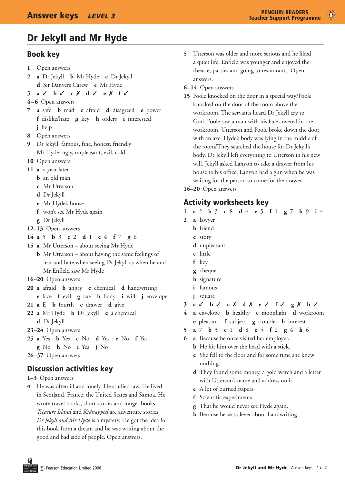# Dr Jekyll and Mr Hyde

# Book key

- **1** Open answers
- **2 a** Dr Jekyll **b** Mr Hyde **c** Dr Jekyll **d** Sir Danvers Carew **e** Mr Hyde
- **3 a**  3 **b** 3 **c** 7 **d** 3 **e**  7 **f** 3
- **4–6** Open answers
- **7 a** safe **b** mad **c** afraid **d** disagreed **e** power **f** dislike/hate **g** key **h** orders **i** interested **j** help
- **8** Open answers
- **9** Dr Jekyll: famous, fine, honest, friendly Mr Hyde: ugly, unpleasant, evil, cold
- 10 Open answers
- 11 **a** a year later
	- **b** an old man
	- **c** Mr Utterson
	- **d** Dr Jekyll
	- **e** Mr Hyde's house
	- **f** won't see Mr Hyde again
	- **g** Dr Jekyll
- **12–13** Open answers
- **14 a** 5 **b** 3 **c** 2 **d** 1 **e** 4 **f** 7 **g** 6
- 15 **a** Mr Utterson about seeing Mr Hyde
	- **b** Mr Utterson about having the same feelings of fear and hate when seeing Dr Jekyll as when he and Mr Enfield saw Mr Hyde
- **16–20** Open answers
- **20 a** afraid **b** angry **c** chemical **d** handwriting
	- **e** face **f** evil **g** axe **h** body **i** will **j** envelope
- **21 a** E **b** fourth **c** drawer **d**  give
- **22 a** Mr Hyde **b** Dr Jekyll **c** a chemical **d** Dr Jekyll
- **23–24** Open answers
- **25 a** Yes **b** Yes **c** No **d** Yes **e** No **f** Yes
- **g** No **h** No **i** Yes **j** No
- **26–37** Open answers

# Discussion activities key

#### **1–3** Open answers

**4** He was often ill and lonely. He studied law. He lived in Scotland, France, the United States and Samoa. He wrote travel books, short stories and longer books. *Treasure Island* and *Kidnapped* are adventure stories. *Dr Jekyll and Mr Hyde* is a mystery. He got the idea for this book from a dream and he was writing about the good and bad side of people. Open answers.

**5** Utterson was older and more serious and he liked a quiet life. Enfield was younger and enjoyed the theatre, parties and going to restaurants. Open answers.

#### **6–14** Open answers

- **15** Poole knocked on the door in a special way/Poole knocked on the door of the room above the workroom. The servants heard Dr Jekyll cry to God. Poole saw a man with his face covered in the workroom. Utterson and Poole broke down the door with an axe. Hyde's body was lying in the middle of the room/They searched the house for Dr Jekyll's body. Dr Jekyll left everything to Utterson in his new will. Jekyll asked Lanyon to take a drawer from his house to his office. Lanyon had a gun when he was waiting for the person to come for the drawer.
- **16–20**  Open answers

### Activity worksheets key

- **1 a**  2 **b**  3 **c**  8 **d**  6 **e**  5 **f**  1 **g**  7 **h**  9 **i**  4
- **2 a** lawyer
	- **b** friend
	- **c** story
	- **d** unpleasant
	- **e** little
	- **f** key
	- **g** cheque
	- **h** signature
	- **i** famous
	- **j** square
- **3 a**  3 **b**  3 **c** 7 **d** 7 **e** 3 **f** 3 **g**  7 **h**  3
- **4 a** envelope **b**  healthy **c** moonlight **d**  workroom **e**  pleasant **f**  subject **g**  trouble **h**  interest
- **5 a**  7 **b**  3 **c**  1 **d**  8 **e**  5 **f**  2 **g**  4 **h**  6
- **6 a** Because he once visited her employer.
	- **b** He hit him over the head with a stick.
	- **c** She fell to the floor and for some time she knew nothing.
	- **d** They found some money, a gold watch and a letter with Utterson's name and address on it.
	- **e** A lot of burned papers.
	- **f** Scientific experiments.
	- **g** That he would never see Hyde again.
	- **h** Because he was clever about handwriting.